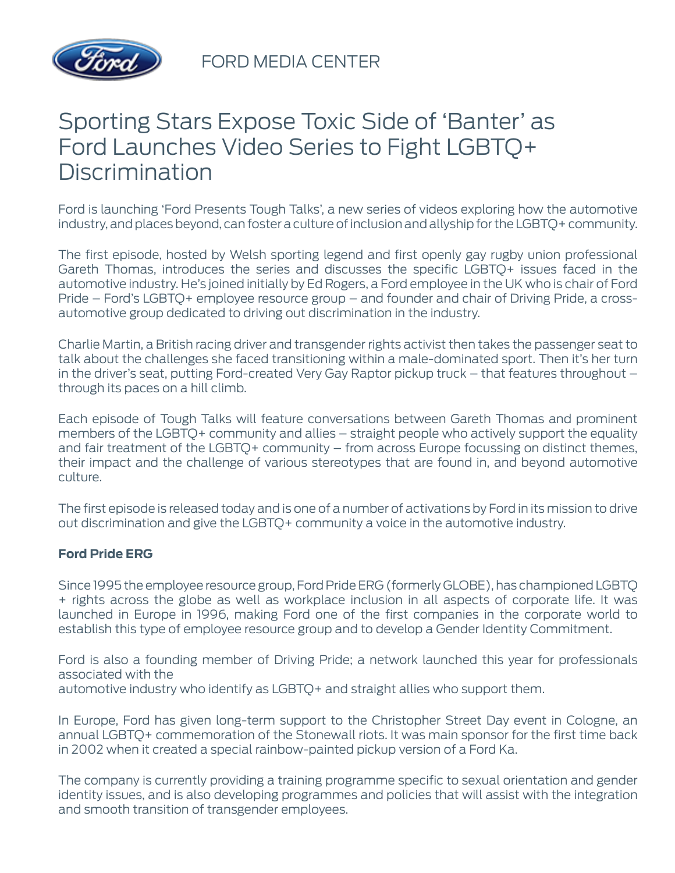

FORD MEDIA CENTER

# Sporting Stars Expose Toxic Side of 'Banter' as Ford Launches Video Series to Fight LGBTQ+ **Discrimination**

Ford is launching 'Ford Presents Tough Talks', a new series of videos exploring how the automotive industry, and places beyond, can foster a culture of inclusion and allyship for the LGBTQ+ community.

The first episode, hosted by Welsh sporting legend and first openly gay rugby union professional Gareth Thomas, introduces the series and discusses the specific LGBTQ+ issues faced in the automotive industry. He's joined initially by Ed Rogers, a Ford employee in the UK who is chair of Ford Pride – Ford's LGBTQ+ employee resource group – and founder and chair of Driving Pride, a crossautomotive group dedicated to driving out discrimination in the industry.

Charlie Martin, a British racing driver and transgender rights activist then takes the passenger seat to talk about the challenges she faced transitioning within a male-dominated sport. Then it's her turn in the driver's seat, putting Ford-created Very Gay Raptor pickup truck – that features throughout – through its paces on a hill climb.

Each episode of Tough Talks will feature conversations between Gareth Thomas and prominent members of the LGBTQ+ community and allies – straight people who actively support the equality and fair treatment of the LGBTQ+ community – from across Europe focussing on distinct themes, their impact and the challenge of various stereotypes that are found in, and beyond automotive culture.

The first episode is released today and is one of a number of activations by Ford in its mission to drive out discrimination and give the LGBTQ+ community a voice in the automotive industry.

## **Ford Pride ERG**

Since 1995 the employee resource group, Ford Pride ERG (formerly GLOBE), has championed LGBTQ + rights across the globe as well as workplace inclusion in all aspects of corporate life. It was launched in Europe in 1996, making Ford one of the first companies in the corporate world to establish this type of employee resource group and to develop a Gender Identity Commitment.

Ford is also a founding member of Driving Pride; a network launched this year for professionals associated with the automotive industry who identify as LGBTQ+ and straight allies who support them.

In Europe, Ford has given long-term support to the Christopher Street Day event in Cologne, an annual LGBTQ+ commemoration of the Stonewall riots. It was main sponsor for the first time back in 2002 when it created a special rainbow-painted pickup version of a Ford Ka.

The company is currently providing a training programme specific to sexual orientation and gender identity issues, and is also developing programmes and policies that will assist with the integration and smooth transition of transgender employees.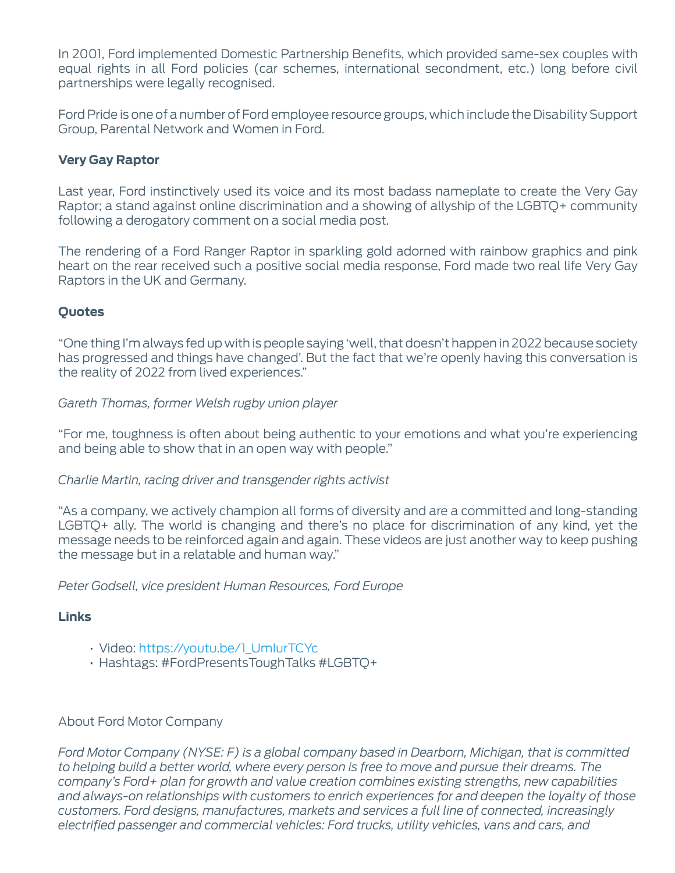In 2001, Ford implemented Domestic Partnership Benefits, which provided same-sex couples with equal rights in all Ford policies (car schemes, international secondment, etc.) long before civil partnerships were legally recognised.

Ford Pride is one of a number of Ford employee resource groups, which include the Disability Support Group, Parental Network and Women in Ford.

#### **Very Gay Raptor**

Last year, Ford instinctively used its voice and its most badass nameplate to create the Very Gay Raptor; a stand against online discrimination and a showing of allyship of the LGBTQ+ community following a derogatory comment on a social media post.

The rendering of a Ford Ranger Raptor in sparkling gold adorned with rainbow graphics and pink heart on the rear received such a positive social media response, Ford made two real life Very Gay Raptors in the UK and Germany.

## **Quotes**

"One thing I'm always fed up with is people saying 'well, that doesn't happen in 2022 because society has progressed and things have changed'. But the fact that we're openly having this conversation is the reality of 2022 from lived experiences."

*Gareth Thomas, former Welsh rugby union player*

"For me, toughness is often about being authentic to your emotions and what you're experiencing and being able to show that in an open way with people."

#### *Charlie Martin, racing driver and transgender rights activist*

"As a company, we actively champion all forms of diversity and are a committed and long-standing LGBTQ+ ally. The world is changing and there's no place for discrimination of any kind, yet the message needs to be reinforced again and again. These videos are just another way to keep pushing the message but in a relatable and human way."

*Peter Godsell, vice president Human Resources, Ford Europe*

#### **Links**

- Video: [https://youtu.be/1\\_UmIurTCYc](https://youtu.be/1_UmIurTCYc)
- Hashtags: #FordPresentsToughTalks #LGBTQ+

## About Ford Motor Company

*Ford Motor Company (NYSE: F) is a global company based in Dearborn, Michigan, that is committed to helping build a better world, where every person is free to move and pursue their dreams. The company's Ford+ plan for growth and value creation combines existing strengths, new capabilities and always-on relationships with customers to enrich experiences for and deepen the loyalty of those customers. Ford designs, manufactures, markets and services a full line of connected, increasingly electrified passenger and commercial vehicles: Ford trucks, utility vehicles, vans and cars, and*